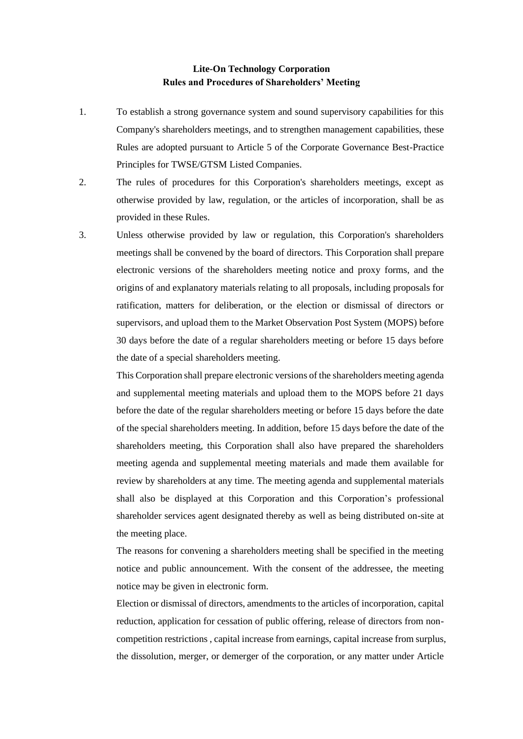## **Lite-On Technology Corporation Rules and Procedures of Shareholders' Meeting**

- 1. To establish a strong governance system and sound supervisory capabilities for this Company's shareholders meetings, and to strengthen management capabilities, these Rules are adopted pursuant to Article 5 of the Corporate Governance Best-Practice Principles for TWSE/GTSM Listed Companies.
- 2. The rules of procedures for this Corporation's shareholders meetings, except as otherwise provided by law, regulation, or the articles of incorporation, shall be as provided in these Rules.
- 3. Unless otherwise provided by law or regulation, this Corporation's shareholders meetings shall be convened by the board of directors. This Corporation shall prepare electronic versions of the shareholders meeting notice and proxy forms, and the origins of and explanatory materials relating to all proposals, including proposals for ratification, matters for deliberation, or the election or dismissal of directors or supervisors, and upload them to the Market Observation Post System (MOPS) before 30 days before the date of a regular shareholders meeting or before 15 days before the date of a special shareholders meeting.

This Corporation shall prepare electronic versions of the shareholders meeting agenda and supplemental meeting materials and upload them to the MOPS before 21 days before the date of the regular shareholders meeting or before 15 days before the date of the special shareholders meeting. In addition, before 15 days before the date of the shareholders meeting, this Corporation shall also have prepared the shareholders meeting agenda and supplemental meeting materials and made them available for review by shareholders at any time. The meeting agenda and supplemental materials shall also be displayed at this Corporation and this Corporation's professional shareholder services agent designated thereby as well as being distributed on-site at the meeting place.

The reasons for convening a shareholders meeting shall be specified in the meeting notice and public announcement. With the consent of the addressee, the meeting notice may be given in electronic form.

Election or dismissal of directors, amendments to the articles of incorporation, capital reduction, application for cessation of public offering, release of directors from noncompetition restrictions , capital increase from earnings, capital increase from surplus, the dissolution, merger, or demerger of the corporation, or any matter under Article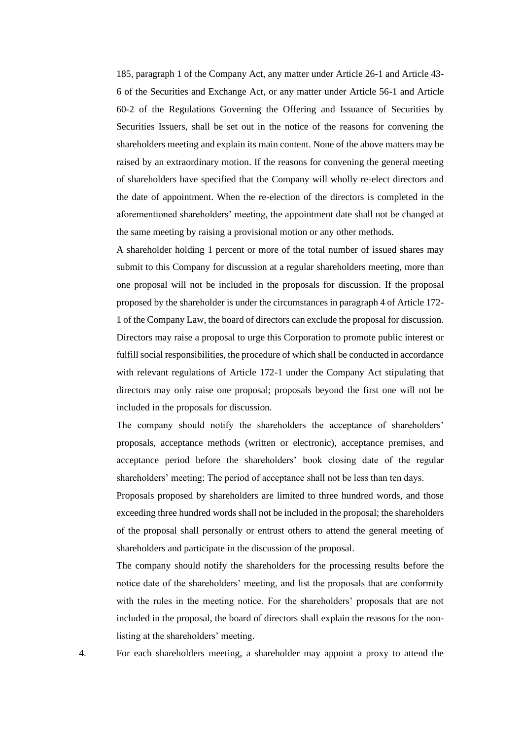185, paragraph 1 of the Company Act, any matter under Article 26-1 and Article 43- 6 of the Securities and Exchange Act, or any matter under Article 56-1 and Article 60-2 of the Regulations Governing the Offering and Issuance of Securities by Securities Issuers, shall be set out in the notice of the reasons for convening the shareholders meeting and explain its main content. None of the above matters may be raised by an extraordinary motion. If the reasons for convening the general meeting of shareholders have specified that the Company will wholly re-elect directors and the date of appointment. When the re-election of the directors is completed in the aforementioned shareholders' meeting, the appointment date shall not be changed at the same meeting by raising a provisional motion or any other methods.

A shareholder holding 1 percent or more of the total number of issued shares may submit to this Company for discussion at a regular shareholders meeting, more than one proposal will not be included in the proposals for discussion. If the proposal proposed by the shareholder is under the circumstances in paragraph 4 of Article 172- 1 of the Company Law, the board of directors can exclude the proposal for discussion. Directors may raise a proposal to urge this Corporation to promote public interest or fulfill social responsibilities, the procedure of which shall be conducted in accordance with relevant regulations of Article 172-1 under the Company Act stipulating that directors may only raise one proposal; proposals beyond the first one will not be included in the proposals for discussion.

The company should notify the shareholders the acceptance of shareholders' proposals, acceptance methods (written or electronic), acceptance premises, and acceptance period before the shareholders' book closing date of the regular shareholders' meeting; The period of acceptance shall not be less than ten days.

Proposals proposed by shareholders are limited to three hundred words, and those exceeding three hundred words shall not be included in the proposal; the shareholders of the proposal shall personally or entrust others to attend the general meeting of shareholders and participate in the discussion of the proposal.

The company should notify the shareholders for the processing results before the notice date of the shareholders' meeting, and list the proposals that are conformity with the rules in the meeting notice. For the shareholders' proposals that are not included in the proposal, the board of directors shall explain the reasons for the nonlisting at the shareholders' meeting.

4. For each shareholders meeting, a shareholder may appoint a proxy to attend the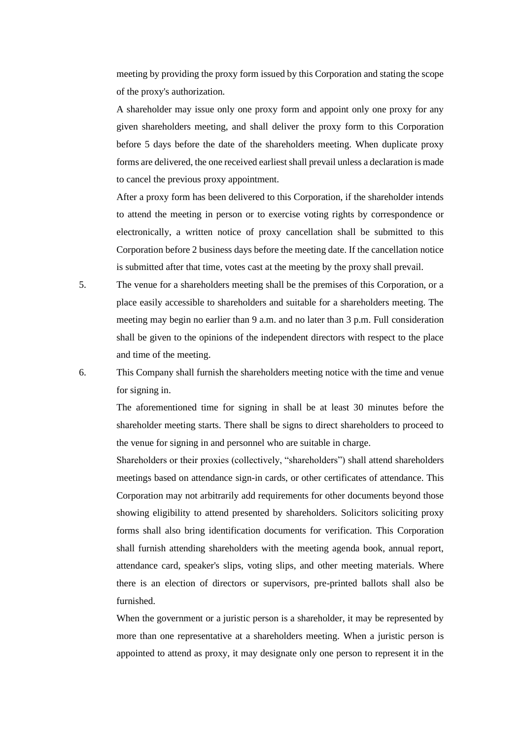meeting by providing the proxy form issued by this Corporation and stating the scope of the proxy's authorization.

A shareholder may issue only one proxy form and appoint only one proxy for any given shareholders meeting, and shall deliver the proxy form to this Corporation before 5 days before the date of the shareholders meeting. When duplicate proxy forms are delivered, the one received earliest shall prevail unless a declaration is made to cancel the previous proxy appointment.

After a proxy form has been delivered to this Corporation, if the shareholder intends to attend the meeting in person or to exercise voting rights by correspondence or electronically, a written notice of proxy cancellation shall be submitted to this Corporation before 2 business days before the meeting date. If the cancellation notice is submitted after that time, votes cast at the meeting by the proxy shall prevail.

5. The venue for a shareholders meeting shall be the premises of this Corporation, or a place easily accessible to shareholders and suitable for a shareholders meeting. The meeting may begin no earlier than 9 a.m. and no later than 3 p.m. Full consideration shall be given to the opinions of the independent directors with respect to the place and time of the meeting.

6. This Company shall furnish the shareholders meeting notice with the time and venue for signing in.

> The aforementioned time for signing in shall be at least 30 minutes before the shareholder meeting starts. There shall be signs to direct shareholders to proceed to the venue for signing in and personnel who are suitable in charge.

> Shareholders or their proxies (collectively, "shareholders") shall attend shareholders meetings based on attendance sign-in cards, or other certificates of attendance. This Corporation may not arbitrarily add requirements for other documents beyond those showing eligibility to attend presented by shareholders. Solicitors soliciting proxy forms shall also bring identification documents for verification. This Corporation shall furnish attending shareholders with the meeting agenda book, annual report, attendance card, speaker's slips, voting slips, and other meeting materials. Where there is an election of directors or supervisors, pre-printed ballots shall also be furnished.

> When the government or a juristic person is a shareholder, it may be represented by more than one representative at a shareholders meeting. When a juristic person is appointed to attend as proxy, it may designate only one person to represent it in the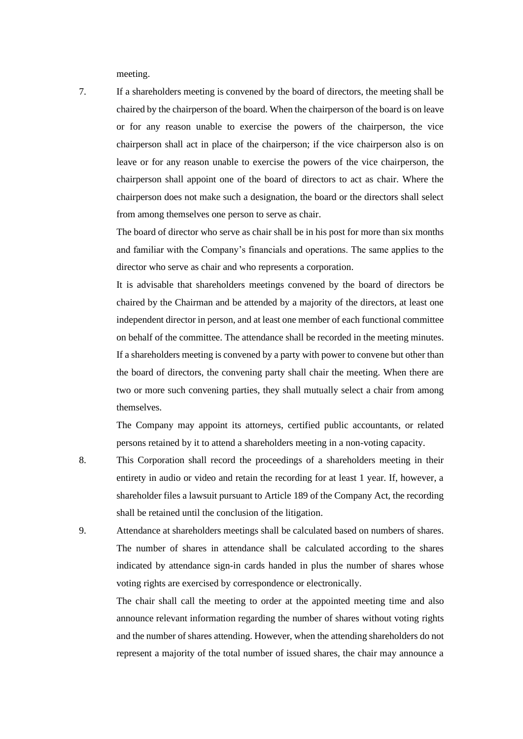meeting.

7. If a shareholders meeting is convened by the board of directors, the meeting shall be chaired by the chairperson of the board. When the chairperson of the board is on leave or for any reason unable to exercise the powers of the chairperson, the vice chairperson shall act in place of the chairperson; if the vice chairperson also is on leave or for any reason unable to exercise the powers of the vice chairperson, the chairperson shall appoint one of the board of directors to act as chair. Where the chairperson does not make such a designation, the board or the directors shall select from among themselves one person to serve as chair.

> The board of director who serve as chair shall be in his post for more than six months and familiar with the Company's financials and operations. The same applies to the director who serve as chair and who represents a corporation.

> It is advisable that shareholders meetings convened by the board of directors be chaired by the Chairman and be attended by a majority of the directors, at least one independent director in person, and at least one member of each functional committee on behalf of the committee. The attendance shall be recorded in the meeting minutes. If a shareholders meeting is convened by a party with power to convene but other than the board of directors, the convening party shall chair the meeting. When there are two or more such convening parties, they shall mutually select a chair from among themselves.

> The Company may appoint its attorneys, certified public accountants, or related persons retained by it to attend a shareholders meeting in a non-voting capacity.

- 8. This Corporation shall record the proceedings of a shareholders meeting in their entirety in audio or video and retain the recording for at least 1 year. If, however, a shareholder files a lawsuit pursuant to Article 189 of the Company Act, the recording shall be retained until the conclusion of the litigation.
- 9. Attendance at shareholders meetings shall be calculated based on numbers of shares. The number of shares in attendance shall be calculated according to the shares indicated by attendance sign-in cards handed in plus the number of shares whose voting rights are exercised by correspondence or electronically.

The chair shall call the meeting to order at the appointed meeting time and also announce relevant information regarding the number of shares without voting rights and the number of shares attending. However, when the attending shareholders do not represent a majority of the total number of issued shares, the chair may announce a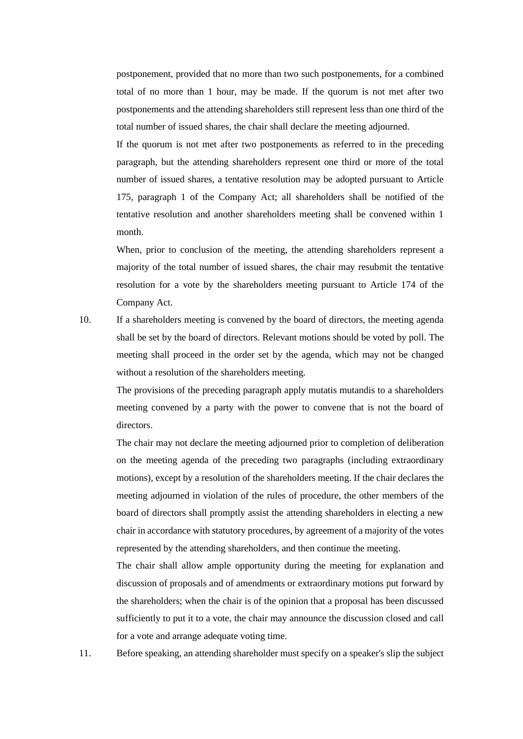postponement, provided that no more than two such postponements, for a combined total of no more than 1 hour, may be made. If the quorum is not met after two postponements and the attending shareholders still represent less than one third of the total number of issued shares, the chair shall declare the meeting adjourned.

If the quorum is not met after two postponements as referred to in the preceding paragraph, but the attending shareholders represent one third or more of the total number of issued shares, a tentative resolution may be adopted pursuant to Article 175, paragraph 1 of the Company Act; all shareholders shall be notified of the tentative resolution and another shareholders meeting shall be convened within 1 month.

When, prior to conclusion of the meeting, the attending shareholders represent a majority of the total number of issued shares, the chair may resubmit the tentative resolution for a vote by the shareholders meeting pursuant to Article 174 of the Company Act.

10. If a shareholders meeting is convened by the board of directors, the meeting agenda shall be set by the board of directors. Relevant motions should be voted by poll. The meeting shall proceed in the order set by the agenda, which may not be changed without a resolution of the shareholders meeting.

> The provisions of the preceding paragraph apply mutatis mutandis to a shareholders meeting convened by a party with the power to convene that is not the board of directors.

> The chair may not declare the meeting adjourned prior to completion of deliberation on the meeting agenda of the preceding two paragraphs (including extraordinary motions), except by a resolution of the shareholders meeting. If the chair declares the meeting adjourned in violation of the rules of procedure, the other members of the board of directors shall promptly assist the attending shareholders in electing a new chair in accordance with statutory procedures, by agreement of a majority of the votes represented by the attending shareholders, and then continue the meeting.

> The chair shall allow ample opportunity during the meeting for explanation and discussion of proposals and of amendments or extraordinary motions put forward by the shareholders; when the chair is of the opinion that a proposal has been discussed sufficiently to put it to a vote, the chair may announce the discussion closed and call for a vote and arrange adequate voting time.

11. Before speaking, an attending shareholder must specify on a speaker's slip the subject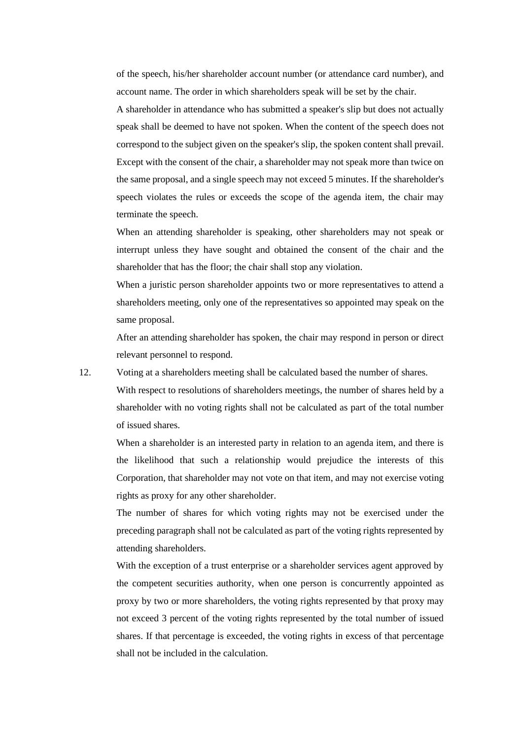of the speech, his/her shareholder account number (or attendance card number), and account name. The order in which shareholders speak will be set by the chair.

A shareholder in attendance who has submitted a speaker's slip but does not actually speak shall be deemed to have not spoken. When the content of the speech does not correspond to the subject given on the speaker's slip, the spoken content shall prevail. Except with the consent of the chair, a shareholder may not speak more than twice on the same proposal, and a single speech may not exceed 5 minutes. If the shareholder's speech violates the rules or exceeds the scope of the agenda item, the chair may terminate the speech.

When an attending shareholder is speaking, other shareholders may not speak or interrupt unless they have sought and obtained the consent of the chair and the shareholder that has the floor; the chair shall stop any violation.

When a juristic person shareholder appoints two or more representatives to attend a shareholders meeting, only one of the representatives so appointed may speak on the same proposal.

After an attending shareholder has spoken, the chair may respond in person or direct relevant personnel to respond.

12. Voting at a shareholders meeting shall be calculated based the number of shares.

With respect to resolutions of shareholders meetings, the number of shares held by a shareholder with no voting rights shall not be calculated as part of the total number of issued shares.

When a shareholder is an interested party in relation to an agenda item, and there is the likelihood that such a relationship would prejudice the interests of this Corporation, that shareholder may not vote on that item, and may not exercise voting rights as proxy for any other shareholder.

The number of shares for which voting rights may not be exercised under the preceding paragraph shall not be calculated as part of the voting rights represented by attending shareholders.

With the exception of a trust enterprise or a shareholder services agent approved by the competent securities authority, when one person is concurrently appointed as proxy by two or more shareholders, the voting rights represented by that proxy may not exceed 3 percent of the voting rights represented by the total number of issued shares. If that percentage is exceeded, the voting rights in excess of that percentage shall not be included in the calculation.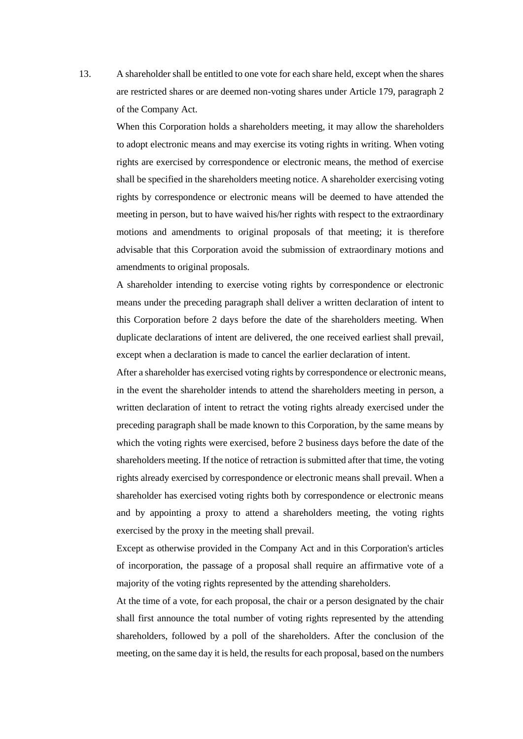13. A shareholder shall be entitled to one vote for each share held, except when the shares are restricted shares or are deemed non-voting shares under Article 179, paragraph 2 of the Company Act.

When this Corporation holds a shareholders meeting, it may allow the shareholders to adopt electronic means and may exercise its voting rights in writing. When voting rights are exercised by correspondence or electronic means, the method of exercise shall be specified in the shareholders meeting notice. A shareholder exercising voting rights by correspondence or electronic means will be deemed to have attended the meeting in person, but to have waived his/her rights with respect to the extraordinary motions and amendments to original proposals of that meeting; it is therefore advisable that this Corporation avoid the submission of extraordinary motions and amendments to original proposals.

A shareholder intending to exercise voting rights by correspondence or electronic means under the preceding paragraph shall deliver a written declaration of intent to this Corporation before 2 days before the date of the shareholders meeting. When duplicate declarations of intent are delivered, the one received earliest shall prevail, except when a declaration is made to cancel the earlier declaration of intent.

After a shareholder has exercised voting rights by correspondence or electronic means, in the event the shareholder intends to attend the shareholders meeting in person, a written declaration of intent to retract the voting rights already exercised under the preceding paragraph shall be made known to this Corporation, by the same means by which the voting rights were exercised, before 2 business days before the date of the shareholders meeting. If the notice of retraction is submitted after that time, the voting rights already exercised by correspondence or electronic means shall prevail. When a shareholder has exercised voting rights both by correspondence or electronic means and by appointing a proxy to attend a shareholders meeting, the voting rights exercised by the proxy in the meeting shall prevail.

Except as otherwise provided in the Company Act and in this Corporation's articles of incorporation, the passage of a proposal shall require an affirmative vote of a majority of the voting rights represented by the attending shareholders.

At the time of a vote, for each proposal, the chair or a person designated by the chair shall first announce the total number of voting rights represented by the attending shareholders, followed by a poll of the shareholders. After the conclusion of the meeting, on the same day it is held, the results for each proposal, based on the numbers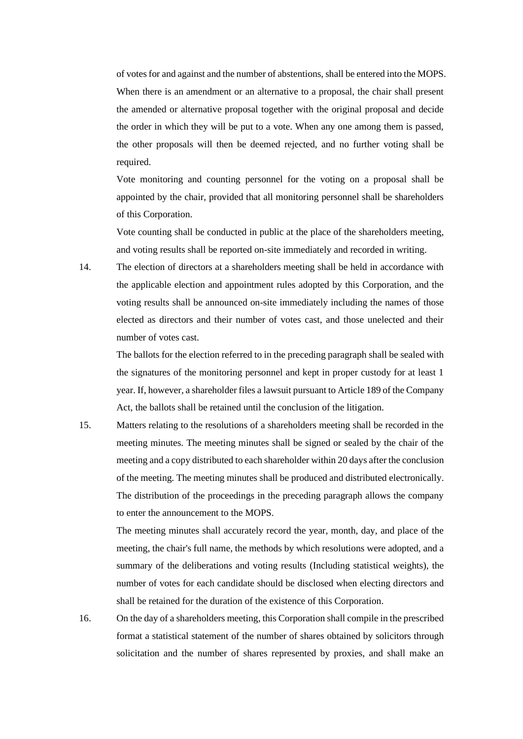of votes for and against and the number of abstentions, shall be entered into the MOPS. When there is an amendment or an alternative to a proposal, the chair shall present the amended or alternative proposal together with the original proposal and decide the order in which they will be put to a vote. When any one among them is passed, the other proposals will then be deemed rejected, and no further voting shall be required.

Vote monitoring and counting personnel for the voting on a proposal shall be appointed by the chair, provided that all monitoring personnel shall be shareholders of this Corporation.

Vote counting shall be conducted in public at the place of the shareholders meeting, and voting results shall be reported on-site immediately and recorded in writing.

14. The election of directors at a shareholders meeting shall be held in accordance with the applicable election and appointment rules adopted by this Corporation, and the voting results shall be announced on-site immediately including the names of those elected as directors and their number of votes cast, and those unelected and their number of votes cast.

> The ballots for the election referred to in the preceding paragraph shall be sealed with the signatures of the monitoring personnel and kept in proper custody for at least 1 year. If, however, a shareholder files a lawsuit pursuant to Article 189 of the Company Act, the ballots shall be retained until the conclusion of the litigation.

15. Matters relating to the resolutions of a shareholders meeting shall be recorded in the meeting minutes. The meeting minutes shall be signed or sealed by the chair of the meeting and a copy distributed to each shareholder within 20 days after the conclusion of the meeting. The meeting minutes shall be produced and distributed electronically. The distribution of the proceedings in the preceding paragraph allows the company to enter the announcement to the MOPS.

> The meeting minutes shall accurately record the year, month, day, and place of the meeting, the chair's full name, the methods by which resolutions were adopted, and a summary of the deliberations and voting results (Including statistical weights), the number of votes for each candidate should be disclosed when electing directors and shall be retained for the duration of the existence of this Corporation.

16. On the day of a shareholders meeting, this Corporation shall compile in the prescribed format a statistical statement of the number of shares obtained by solicitors through solicitation and the number of shares represented by proxies, and shall make an